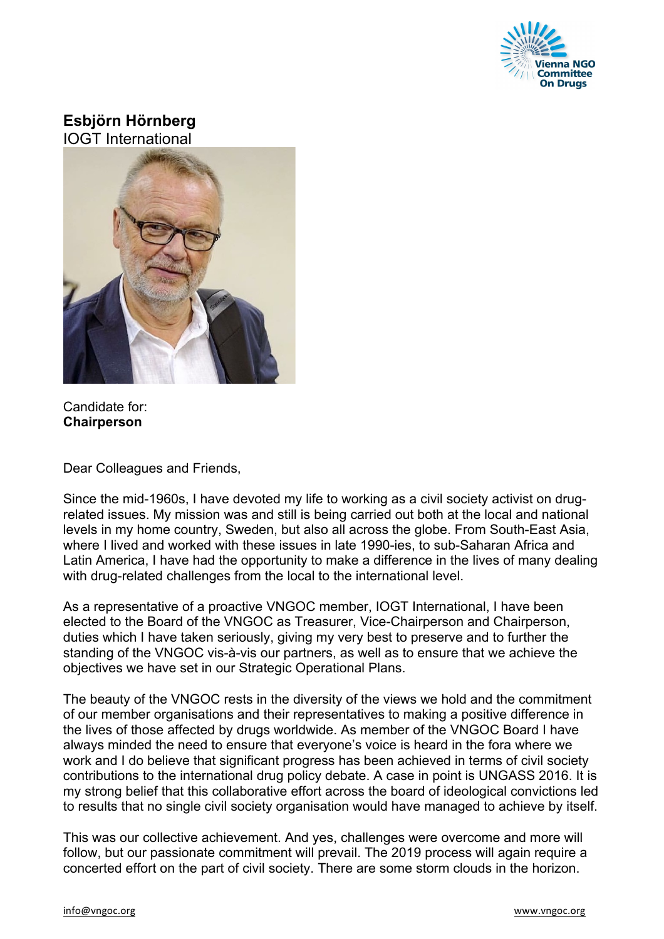

## **Esbjörn Hörnberg** IOGT International



Candidate for: **Chairperson**

Dear Colleagues and Friends,

Since the mid-1960s, I have devoted my life to working as a civil society activist on drugrelated issues. My mission was and still is being carried out both at the local and national levels in my home country, Sweden, but also all across the globe. From South-East Asia, where I lived and worked with these issues in late 1990-ies, to sub-Saharan Africa and Latin America, I have had the opportunity to make a difference in the lives of many dealing with drug-related challenges from the local to the international level.

As a representative of a proactive VNGOC member, IOGT International, I have been elected to the Board of the VNGOC as Treasurer, Vice-Chairperson and Chairperson, duties which I have taken seriously, giving my very best to preserve and to further the standing of the VNGOC vis-à-vis our partners, as well as to ensure that we achieve the objectives we have set in our Strategic Operational Plans.

The beauty of the VNGOC rests in the diversity of the views we hold and the commitment of our member organisations and their representatives to making a positive difference in the lives of those affected by drugs worldwide. As member of the VNGOC Board I have always minded the need to ensure that everyone's voice is heard in the fora where we work and I do believe that significant progress has been achieved in terms of civil society contributions to the international drug policy debate. A case in point is UNGASS 2016. It is my strong belief that this collaborative effort across the board of ideological convictions led to results that no single civil society organisation would have managed to achieve by itself.

This was our collective achievement. And yes, challenges were overcome and more will follow, but our passionate commitment will prevail. The 2019 process will again require a concerted effort on the part of civil society. There are some storm clouds in the horizon.